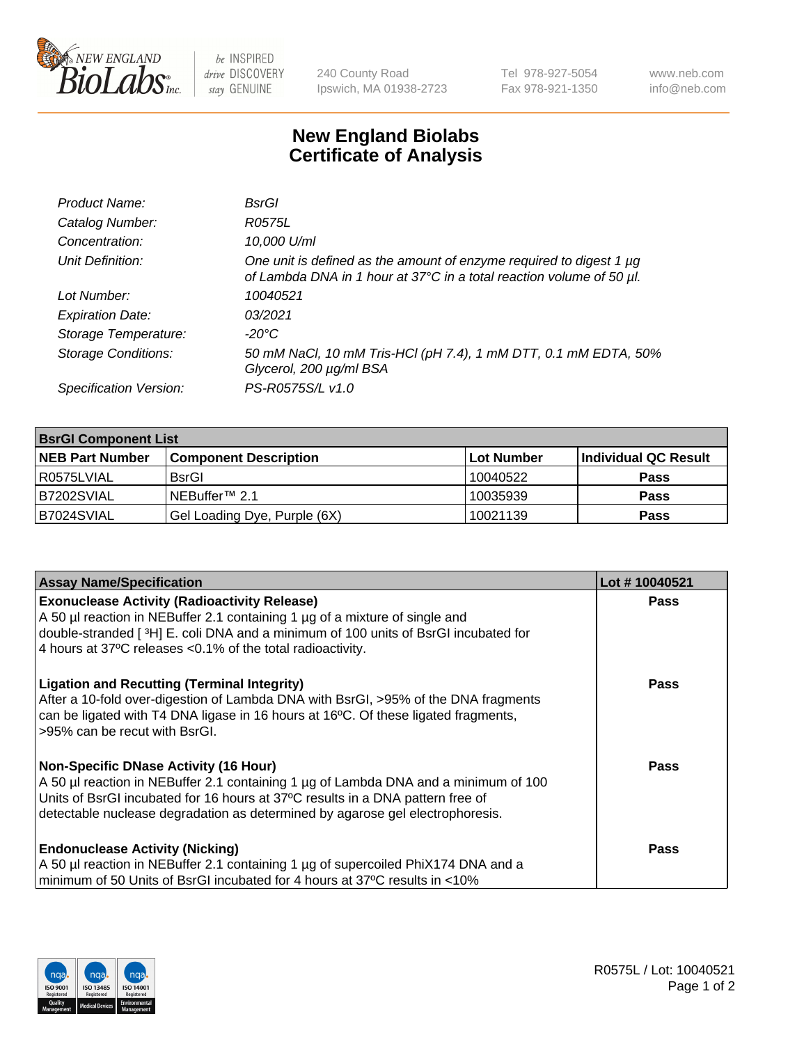

 $be$  INSPIRED drive DISCOVERY stay GENUINE

240 County Road Ipswich, MA 01938-2723 Tel 978-927-5054 Fax 978-921-1350 www.neb.com info@neb.com

## **New England Biolabs Certificate of Analysis**

| Product Name:              | BsrGl                                                                                                                                       |
|----------------------------|---------------------------------------------------------------------------------------------------------------------------------------------|
| Catalog Number:            | R0575L                                                                                                                                      |
| Concentration:             | 10,000 U/ml                                                                                                                                 |
| Unit Definition:           | One unit is defined as the amount of enzyme required to digest 1 µg<br>of Lambda DNA in 1 hour at 37°C in a total reaction volume of 50 µl. |
| Lot Number:                | 10040521                                                                                                                                    |
| <b>Expiration Date:</b>    | 0.3/2021                                                                                                                                    |
| Storage Temperature:       | $-20^{\circ}$ C                                                                                                                             |
| <b>Storage Conditions:</b> | 50 mM NaCl, 10 mM Tris-HCl (pH 7.4), 1 mM DTT, 0.1 mM EDTA, 50%<br>Glycerol, 200 µg/ml BSA                                                  |
| Specification Version:     | PS-R0575S/L v1.0                                                                                                                            |

| <b>BsrGI Component List</b> |                              |            |                      |  |
|-----------------------------|------------------------------|------------|----------------------|--|
| <b>NEB Part Number</b>      | <b>Component Description</b> | Lot Number | Individual QC Result |  |
| R0575LVIAL                  | <b>BsrGI</b>                 | 10040522   | <b>Pass</b>          |  |
| B7202SVIAL                  | INEBuffer™ 2.1               | 10035939   | <b>Pass</b>          |  |
| B7024SVIAL                  | Gel Loading Dye, Purple (6X) | 10021139   | <b>Pass</b>          |  |

| <b>Assay Name/Specification</b>                                                                                                                                                                                                                                                                      | Lot #10040521 |
|------------------------------------------------------------------------------------------------------------------------------------------------------------------------------------------------------------------------------------------------------------------------------------------------------|---------------|
| <b>Exonuclease Activity (Radioactivity Release)</b><br>A 50 µl reaction in NEBuffer 2.1 containing 1 µg of a mixture of single and<br>double-stranded [ <sup>3</sup> H] E. coli DNA and a minimum of 100 units of BsrGI incubated for<br>4 hours at 37°C releases < 0.1% of the total radioactivity. | <b>Pass</b>   |
| Ligation and Recutting (Terminal Integrity)<br>After a 10-fold over-digestion of Lambda DNA with BsrGI, >95% of the DNA fragments<br>can be ligated with T4 DNA ligase in 16 hours at 16°C. Of these ligated fragments,<br>l >95% can be recut with BsrGI.                                           | <b>Pass</b>   |
| Non-Specific DNase Activity (16 Hour)<br>A 50 µl reaction in NEBuffer 2.1 containing 1 µg of Lambda DNA and a minimum of 100<br>Units of BsrGI incubated for 16 hours at 37°C results in a DNA pattern free of<br>detectable nuclease degradation as determined by agarose gel electrophoresis.      | <b>Pass</b>   |
| <b>Endonuclease Activity (Nicking)</b><br>A 50 µl reaction in NEBuffer 2.1 containing 1 µg of supercoiled PhiX174 DNA and a<br>minimum of 50 Units of BsrGI incubated for 4 hours at 37°C results in <10%                                                                                            | <b>Pass</b>   |